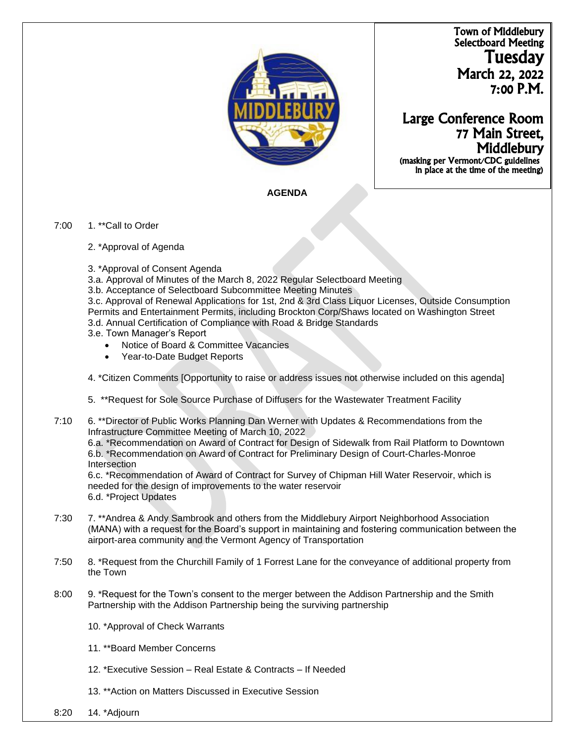Town of Middlebury Selectboard Meeting Tuesday March 22, 2022 7:00 P.M.



# Large Conference Room 77 Main Street, **Middlebury**

 (masking per Vermont/CDC guidelines in place at the time of the meeting)

## **AGENDA**

#### 7:00 1. \*\*Call to Order

- 2. \*Approval of Agenda
- 3. \*Approval of Consent Agenda
- 3.a. Approval of Minutes of the March 8, 2022 Regular Selectboard Meeting
- 3.b. Acceptance of Selectboard Subcommittee Meeting Minutes

3.c. Approval of Renewal Applications for 1st, 2nd & 3rd Class Liquor Licenses, Outside Consumption Permits and Entertainment Permits, including Brockton Corp/Shaws located on Washington Street 3.d. Annual Certification of Compliance with Road & Bridge Standards

- 3.e. Town Manager's Report
	- Notice of Board & Committee Vacancies
	- Year-to-Date Budget Reports
- 4. \*Citizen Comments [Opportunity to raise or address issues not otherwise included on this agenda]
- 5. \*\*Request for Sole Source Purchase of Diffusers for the Wastewater Treatment Facility
- 7:10 6. \*\*Director of Public Works Planning Dan Werner with Updates & Recommendations from the Infrastructure Committee Meeting of March 10, 2022

6.a. \*Recommendation on Award of Contract for Design of Sidewalk from Rail Platform to Downtown 6.b. \*Recommendation on Award of Contract for Preliminary Design of Court-Charles-Monroe Intersection

6.c. \*Recommendation of Award of Contract for Survey of Chipman Hill Water Reservoir, which is needed for the design of improvements to the water reservoir 6.d. \*Project Updates

- 7:30 7. \*\*Andrea & Andy Sambrook and others from the Middlebury Airport Neighborhood Association (MANA) with a request for the Board's support in maintaining and fostering communication between the airport-area community and the Vermont Agency of Transportation
- 7:50 8. \*Request from the Churchill Family of 1 Forrest Lane for the conveyance of additional property from the Town
- 8:00 9. \*Request for the Town's consent to the merger between the Addison Partnership and the Smith Partnership with the Addison Partnership being the surviving partnership
	- 10. \*Approval of Check Warrants
	- 11. \*\*Board Member Concerns
	- 12. \*Executive Session Real Estate & Contracts If Needed
	- 13. \*\*Action on Matters Discussed in Executive Session
- 8:20 14. \*Adjourn